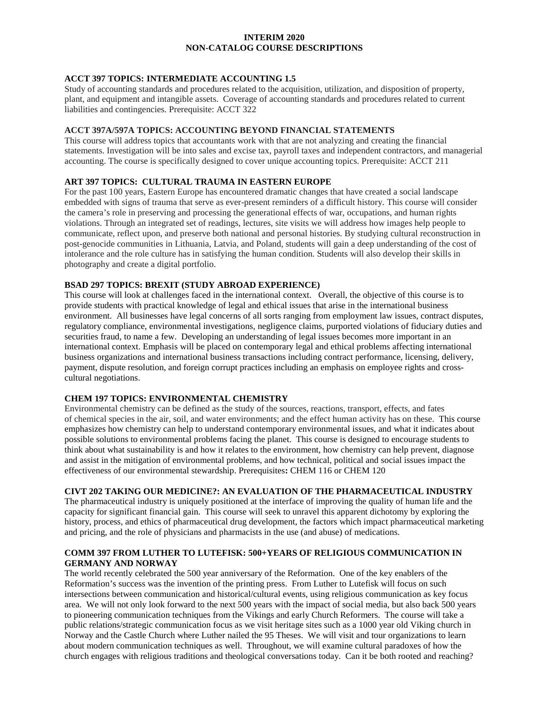# **INTERIM 2020 NON-CATALOG COURSE DESCRIPTIONS**

# **ACCT 397 TOPICS: INTERMEDIATE ACCOUNTING 1.5**

Study of accounting standards and procedures related to the acquisition, utilization, and disposition of property, plant, and equipment and intangible assets. Coverage of accounting standards and procedures related to current liabilities and contingencies. Prerequisite: ACCT 322

## **ACCT 397A/597A TOPICS: ACCOUNTING BEYOND FINANCIAL STATEMENTS**

This course will address topics that accountants work with that are not analyzing and creating the financial statements. Investigation will be into sales and excise tax, payroll taxes and independent contractors, and managerial accounting. The course is specifically designed to cover unique accounting topics. Prerequisite: ACCT 211

## **ART 397 TOPICS: CULTURAL TRAUMA IN EASTERN EUROPE**

For the past 100 years, Eastern Europe has encountered dramatic changes that have created a social landscape embedded with signs of trauma that serve as ever-present reminders of a difficult history. This course will consider the camera's role in preserving and processing the generational effects of war, occupations, and human rights violations. Through an integrated set of readings, lectures, site visits we will address how images help people to communicate, reflect upon, and preserve both national and personal histories. By studying cultural reconstruction in post-genocide communities in Lithuania, Latvia, and Poland, students will gain a deep understanding of the cost of intolerance and the role culture has in satisfying the human condition. Students will also develop their skills in photography and create a digital portfolio.

#### **BSAD 297 TOPICS: BREXIT (STUDY ABROAD EXPERIENCE)**

This course will look at challenges faced in the international context. Overall, the objective of this course is to provide students with practical knowledge of legal and ethical issues that arise in the international business environment. All businesses have legal concerns of all sorts ranging from employment law issues, contract disputes, regulatory compliance, environmental investigations, negligence claims, purported violations of fiduciary duties and securities fraud, to name a few. Developing an understanding of legal issues becomes more important in an international context. Emphasis will be placed on contemporary legal and ethical problems affecting international business organizations and international business transactions including contract performance, licensing, delivery, payment, dispute resolution, and foreign corrupt practices including an emphasis on employee rights and crosscultural negotiations.

#### **CHEM 197 TOPICS: ENVIRONMENTAL CHEMISTRY**

Environmental chemistry can be defined as the study of the sources, reactions, transport, effects, and fates of chemical species in the air, soil, and water environments; and the effect human activity has on these. This course emphasizes how chemistry can help to understand contemporary environmental issues, and what it indicates about possible solutions to environmental problems facing the planet. This course is designed to encourage students to think about what sustainability is and how it relates to the environment, how chemistry can help prevent, diagnose and assist in the mitigation of environmental problems, and how technical, political and social issues impact the effectiveness of our environmental stewardship. Prerequisites**:** CHEM 116 or CHEM 120

#### **CIVT 202 TAKING OUR MEDICINE?: AN EVALUATION OF THE PHARMACEUTICAL INDUSTRY**

The pharmaceutical industry is uniquely positioned at the interface of improving the quality of human life and the capacity for significant financial gain. This course will seek to unravel this apparent dichotomy by exploring the history, process, and ethics of pharmaceutical drug development, the factors which impact pharmaceutical marketing and pricing, and the role of physicians and pharmacists in the use (and abuse) of medications.

# **COMM 397 FROM LUTHER TO LUTEFISK: 500+YEARS OF RELIGIOUS COMMUNICATION IN GERMANY AND NORWAY**

The world recently celebrated the 500 year anniversary of the Reformation. One of the key enablers of the Reformation's success was the invention of the printing press. From Luther to Lutefisk will focus on such intersections between communication and historical/cultural events, using religious communication as key focus area. We will not only look forward to the next 500 years with the impact of social media, but also back 500 years to pioneering communication techniques from the Vikings and early Church Reformers. The course will take a public relations/strategic communication focus as we visit heritage sites such as a 1000 year old Viking church in Norway and the Castle Church where Luther nailed the 95 Theses. We will visit and tour organizations to learn about modern communication techniques as well. Throughout, we will examine cultural paradoxes of how the church engages with religious traditions and theological conversations today. Can it be both rooted and reaching?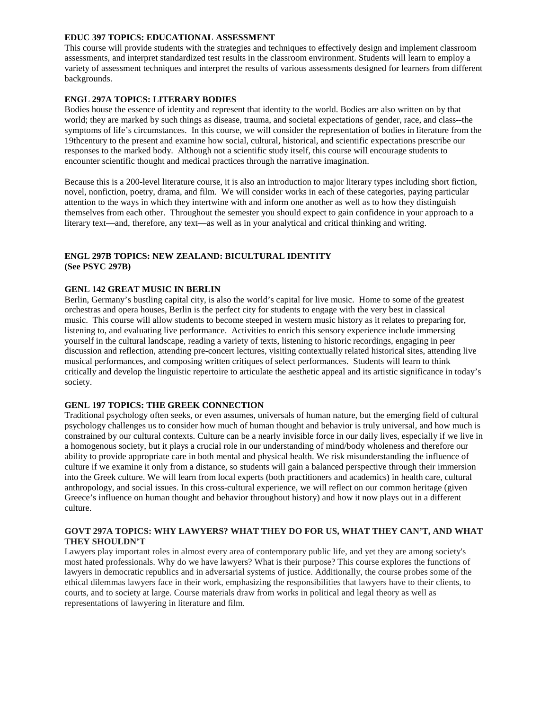## **EDUC 397 TOPICS: EDUCATIONAL ASSESSMENT**

This course will provide students with the strategies and techniques to effectively design and implement classroom assessments, and interpret standardized test results in the classroom environment. Students will learn to employ a variety of assessment techniques and interpret the results of various assessments designed for learners from different backgrounds.

## **ENGL 297A TOPICS: LITERARY BODIES**

Bodies house the essence of identity and represent that identity to the world. Bodies are also written on by that world; they are marked by such things as disease, trauma, and societal expectations of gender, race, and class--the symptoms of life's circumstances. In this course, we will consider the representation of bodies in literature from the 19thcentury to the present and examine how social, cultural, historical, and scientific expectations prescribe our responses to the marked body. Although not a scientific study itself, this course will encourage students to encounter scientific thought and medical practices through the narrative imagination.

Because this is a 200-level literature course, it is also an introduction to major literary types including short fiction, novel, nonfiction, poetry, drama, and film. We will consider works in each of these categories, paying particular attention to the ways in which they intertwine with and inform one another as well as to how they distinguish themselves from each other. Throughout the semester you should expect to gain confidence in your approach to a literary text—and, therefore, any text—as well as in your analytical and critical thinking and writing.

# **ENGL 297B TOPICS: NEW ZEALAND: BICULTURAL IDENTITY (See PSYC 297B)**

## **GENL 142 GREAT MUSIC IN BERLIN**

Berlin, Germany's bustling capital city, is also the world's capital for live music. Home to some of the greatest orchestras and opera houses, Berlin is the perfect city for students to engage with the very best in classical music. This course will allow students to become steeped in western music history as it relates to preparing for, listening to, and evaluating live performance. Activities to enrich this sensory experience include immersing yourself in the cultural landscape, reading a variety of texts, listening to historic recordings, engaging in peer discussion and reflection, attending pre-concert lectures, visiting contextually related historical sites, attending live musical performances, and composing written critiques of select performances. Students will learn to think critically and develop the linguistic repertoire to articulate the aesthetic appeal and its artistic significance in today's society.

#### **GENL 197 TOPICS: THE GREEK CONNECTION**

Traditional psychology often seeks, or even assumes, universals of human nature, but the emerging field of cultural psychology challenges us to consider how much of human thought and behavior is truly universal, and how much is constrained by our cultural contexts. Culture can be a nearly invisible force in our daily lives, especially if we live in a homogenous society, but it plays a crucial role in our understanding of mind/body wholeness and therefore our ability to provide appropriate care in both mental and physical health. We risk misunderstanding the influence of culture if we examine it only from a distance, so students will gain a balanced perspective through their immersion into the Greek culture. We will learn from local experts (both practitioners and academics) in health care, cultural anthropology, and social issues. In this cross-cultural experience, we will reflect on our common heritage (given Greece's influence on human thought and behavior throughout history) and how it now plays out in a different culture.

## **GOVT 297A TOPICS: WHY LAWYERS? WHAT THEY DO FOR US, WHAT THEY CAN'T, AND WHAT THEY SHOULDN'T**

Lawyers play important roles in almost every area of contemporary public life, and yet they are among society's most hated professionals. Why do we have lawyers? What is their purpose? This course explores the functions of lawyers in democratic republics and in adversarial systems of justice. Additionally, the course probes some of the ethical dilemmas lawyers face in their work, emphasizing the responsibilities that lawyers have to their clients, to courts, and to society at large. Course materials draw from works in political and legal theory as well as representations of lawyering in literature and film.